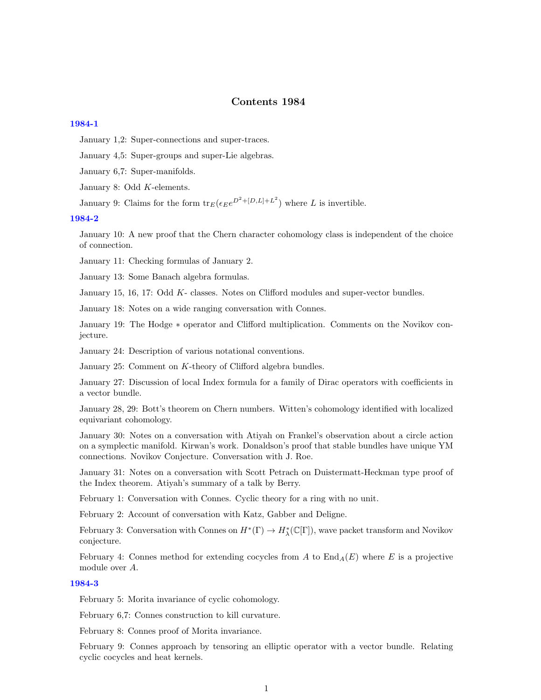# Contents 1984

#### [1984-1](http://www2.maths.ox.ac.uk/cmi/library/Quillen/Working_papers/quillen%201984/1984-1.pdf)

January 1,2: Super-connections and super-traces.

January 4,5: Super-groups and super-Lie algebras.

January 6,7: Super-manifolds.

January 8: Odd K-elements.

January 9: Claims for the form  ${\rm tr}_E(\epsilon_E e^{D^2 + [D,L]+L^2})$  where L is invertible.

### [1984-2](http://www2.maths.ox.ac.uk/cmi/library/Quillen/Working_papers/quillen%201984/1984-2.pdf)

January 10: A new proof that the Chern character cohomology class is independent of the choice of connection.

January 11: Checking formulas of January 2.

January 13: Some Banach algebra formulas.

January 15, 16, 17: Odd K- classes. Notes on Clifford modules and super-vector bundles.

January 18: Notes on a wide ranging conversation with Connes.

January 19: The Hodge ∗ operator and Clifford multiplication. Comments on the Novikov conjecture.

January 24: Description of various notational conventions.

January 25: Comment on K-theory of Clifford algebra bundles.

January 27: Discussion of local Index formula for a family of Dirac operators with coefficients in a vector bundle.

January 28, 29: Bott's theorem on Chern numbers. Witten's cohomology identified with localized equivariant cohomology.

January 30: Notes on a conversation with Atiyah on Frankel's observation about a circle action on a symplectic manifold. Kirwan's work. Donaldson's proof that stable bundles have unique YM connections. Novikov Conjecture. Conversation with J. Roe.

January 31: Notes on a conversation with Scott Petrach on Duistermatt-Heckman type proof of the Index theorem. Atiyah's summary of a talk by Berry.

February 1: Conversation with Connes. Cyclic theory for a ring with no unit.

February 2: Account of conversation with Katz, Gabber and Deligne.

February 3: Conversation with Connes on  $H^*(\Gamma) \to H^*_{\lambda}(\mathbb{C}[\Gamma])$ , wave packet transform and Novikov conjecture.

February 4: Connes method for extending cocycles from A to  $\text{End}_{A}(E)$  where E is a projective module over A.

## [1984-3](http://www2.maths.ox.ac.uk/cmi/library/Quillen/Working_papers/quillen%201984/1984-3.pdf)

February 5: Morita invariance of cyclic cohomology.

February 6,7: Connes construction to kill curvature.

February 8: Connes proof of Morita invariance.

February 9: Connes approach by tensoring an elliptic operator with a vector bundle. Relating cyclic cocycles and heat kernels.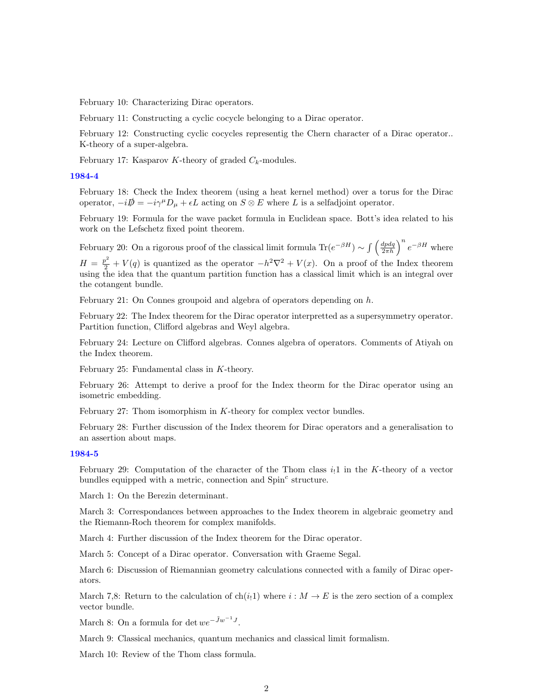February 10: Characterizing Dirac operators.

February 11: Constructing a cyclic cocycle belonging to a Dirac operator.

February 12: Constructing cyclic cocycles representig the Chern character of a Dirac operator.. K-theory of a super-algebra.

February 17: Kasparov K-theory of graded  $C_k$ -modules.

## [1984-4](http://www2.maths.ox.ac.uk/cmi/library/Quillen/Working_papers/quillen%201984/1984-4.pdf)

February 18: Check the Index theorem (using a heat kernel method) over a torus for the Dirac operator,  $-i\mathcal{D} = -i\gamma^{\mu}D_{\mu} + \epsilon L$  acting on  $S \otimes E$  where L is a selfadjoint operator.

February 19: Formula for the wave packet formula in Euclidean space. Bott's idea related to his work on the Lefschetz fixed point theorem.

February 20: On a rigorous proof of the classical limit formula  $\text{Tr}(e^{-\beta H}) \sim \int \left(\frac{dpdq}{2\pi\hbar}\right)^n e^{-\beta H}$  where  $H = \frac{p^2}{2} + V(q)$  is quantized as the operator  $-h^2\nabla^2 + V(x)$ . On a proof of the Index theorem using the idea that the quantum partition function has a classical limit which is an integral over the cotangent bundle.

February 21: On Connes groupoid and algebra of operators depending on  $h$ .

February 22: The Index theorem for the Dirac operator interpretted as a supersymmetry operator. Partition function, Clifford algebras and Weyl algebra.

February 24: Lecture on Clifford algebras. Connes algebra of operators. Comments of Atiyah on the Index theorem.

February 25: Fundamental class in K-theory.

February 26: Attempt to derive a proof for the Index theorm for the Dirac operator using an isometric embedding.

February 27: Thom isomorphism in  $K$ -theory for complex vector bundles.

February 28: Further discussion of the Index theorem for Dirac operators and a generalisation to an assertion about maps.

### [1984-5](http://www2.maths.ox.ac.uk/cmi/library/Quillen/Working_papers/quillen%201984/1984-5.pdf)

February 29: Computation of the character of the Thom class  $i_1$  in the K-theory of a vector bundles equipped with a metric, connection and  $Spin<sup>c</sup>$  structure.

March 1: On the Berezin determinant.

March 3: Correspondances between approaches to the Index theorem in algebraic geometry and the Riemann-Roch theorem for complex manifolds.

March 4: Further discussion of the Index theorem for the Dirac operator.

March 5: Concept of a Dirac operator. Conversation with Graeme Segal.

March 6: Discussion of Riemannian geometry calculations connected with a family of Dirac operators.

March 7,8: Return to the calculation of ch(i<sub>1</sub>1) where  $i : M \to E$  is the zero section of a complex vector bundle.

March 8: On a formula for det  $we^{-\tilde{J}w^{-1}J}$ .

March 9: Classical mechanics, quantum mechanics and classical limit formalism.

March 10: Review of the Thom class formula.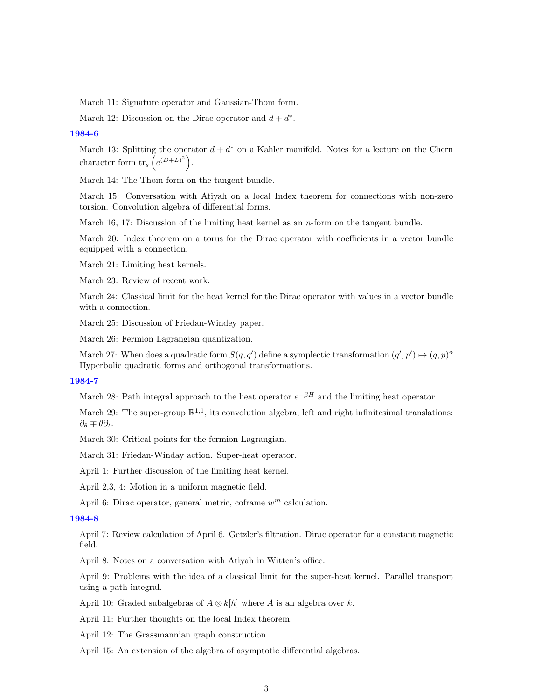March 11: Signature operator and Gaussian-Thom form.

March 12: Discussion on the Dirac operator and  $d + d^*$ .

#### [1984-6](http://www2.maths.ox.ac.uk/cmi/library/Quillen/Working_papers/quillen%201984/1984-6.pdf)

March 13: Splitting the operator  $d + d^*$  on a Kahler manifold. Notes for a lecture on the Chern character form  $\text{tr}_s\left(e^{(D+L)^2}\right)$ .

March 14: The Thom form on the tangent bundle.

March 15: Conversation with Atiyah on a local Index theorem for connections with non-zero torsion. Convolution algebra of differential forms.

March 16, 17: Discussion of the limiting heat kernel as an  $n$ -form on the tangent bundle.

March 20: Index theorem on a torus for the Dirac operator with coefficients in a vector bundle equipped with a connection.

March 21: Limiting heat kernels.

March 23: Review of recent work.

March 24: Classical limit for the heat kernel for the Dirac operator with values in a vector bundle with a connection.

March 25: Discussion of Friedan-Windey paper.

March 26: Fermion Lagrangian quantization.

March 27: When does a quadratic form  $S(q, q')$  define a symplectic transformation  $(q', p') \mapsto (q, p)$ ? Hyperbolic quadratic forms and orthogonal transformations.

#### [1984-7](http://www2.maths.ox.ac.uk/cmi/library/Quillen/Working_papers/quillen%201984/1984-7.pdf)

March 28: Path integral approach to the heat operator  $e^{-\beta H}$  and the limiting heat operator.

March 29: The super-group  $\mathbb{R}^{1,1}$ , its convolution algebra, left and right infinitesimal translations:  $\partial_{\theta} \mp \theta \partial_{t}$ .

March 30: Critical points for the fermion Lagrangian.

March 31: Friedan-Winday action. Super-heat operator.

April 1: Further discussion of the limiting heat kernel.

April 2,3, 4: Motion in a uniform magnetic field.

April 6: Dirac operator, general metric, coframe  $w^m$  calculation.

## [1984-8](http://www2.maths.ox.ac.uk/cmi/library/Quillen/Working_papers/quillen%201984/1984-8.pdf)

April 7: Review calculation of April 6. Getzler's filtration. Dirac operator for a constant magnetic field.

April 8: Notes on a conversation with Atiyah in Witten's office.

April 9: Problems with the idea of a classical limit for the super-heat kernel. Parallel transport using a path integral.

April 10: Graded subalgebras of  $A \otimes k[h]$  where A is an algebra over k.

April 11: Further thoughts on the local Index theorem.

April 12: The Grassmannian graph construction.

April 15: An extension of the algebra of asymptotic differential algebras.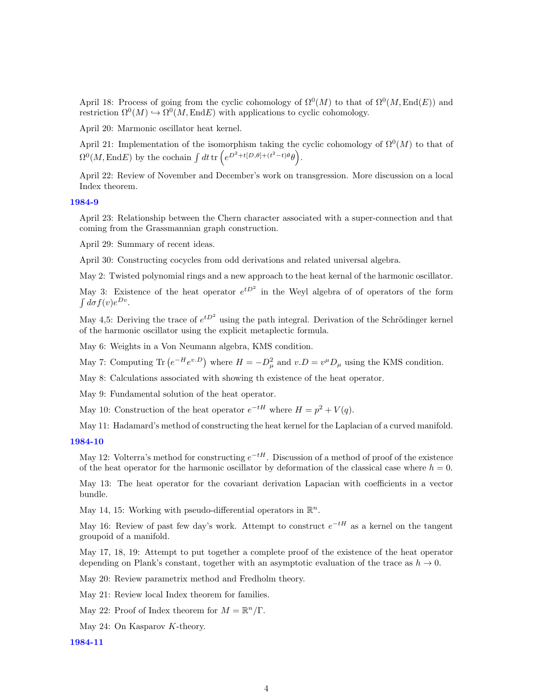April 18: Process of going from the cyclic cohomology of  $\Omega^0(M)$  to that of  $\Omega^0(M,\text{End}(E))$  and restriction  $\Omega^0(M) \hookrightarrow \Omega^0(M, \text{End} E)$  with applications to cyclic cohomology.

April 20: Marmonic oscillator heat kernel.

April 21: Implementation of the isomorphism taking the cyclic cohomology of  $\Omega^{0}(M)$  to that of  $\Omega^0(M,\text{End} E)$  by the cochain  $\int dt \, \text{tr}\left(e^{D^2+t[D,\theta]+(t^2-t)\theta}\theta\right)$ .

April 22: Review of November and December's work on transgression. More discussion on a local Index theorem.

## [1984-9](http://www2.maths.ox.ac.uk/cmi/library/Quillen/Working_papers/quillen%201984/1984-9.pdf)

April 23: Relationship between the Chern character associated with a super-connection and that coming from the Grassmannian graph construction.

April 29: Summary of recent ideas.

April 30: Constructing cocycles from odd derivations and related universal algebra.

May 2: Twisted polynomial rings and a new approach to the heat kernal of the harmonic oscillator.

May 3: Existence of the heat operator  $e^{tD^2}$  in the Weyl algebra of of operators of the form  $\int d\sigma f(v)e^{Dv}$ .

May 4,5: Deriving the trace of  $e^{tD^2}$  using the path integral. Derivation of the Schrödinger kernel of the harmonic oscillator using the explicit metaplectic formula.

May 6: Weights in a Von Neumann algebra, KMS condition.

May 7: Computing Tr  $(e^{-H}e^{v.D})$  where  $H = -D^2_\mu$  and  $v.D = v^\mu D_\mu$  using the KMS condition.

May 8: Calculations associated with showing th existence of the heat operator.

May 9: Fundamental solution of the heat operator.

May 10: Construction of the heat operator  $e^{-tH}$  where  $H = p^2 + V(q)$ .

May 11: Hadamard's method of constructing the heat kernel for the Laplacian of a curved manifold.

#### [1984-10](http://www2.maths.ox.ac.uk/cmi/library/Quillen/Working_papers/quillen%201984/1984-10.pdf)

May 12: Volterra's method for constructing  $e^{-tH}$ . Discussion of a method of proof of the existence of the heat operator for the harmonic oscillator by deformation of the classical case where  $h = 0$ .

May 13: The heat operator for the covariant derivation Lapacian with coefficients in a vector bundle.

May 14, 15: Working with pseudo-differential operators in  $\mathbb{R}^n$ .

May 16: Review of past few day's work. Attempt to construct  $e^{-tH}$  as a kernel on the tangent groupoid of a manifold.

May 17, 18, 19: Attempt to put together a complete proof of the existence of the heat operator depending on Plank's constant, together with an asymptotic evaluation of the trace as  $h \to 0$ .

May 20: Review parametrix method and Fredholm theory.

May 21: Review local Index theorem for families.

- May 22: Proof of Index theorem for  $M = \mathbb{R}^n / \Gamma$ .
- May 24: On Kasparov K-theory.

[1984-11](http://www2.maths.ox.ac.uk/cmi/library/Quillen/Working_papers/quillen%201984/1984-11.pdf)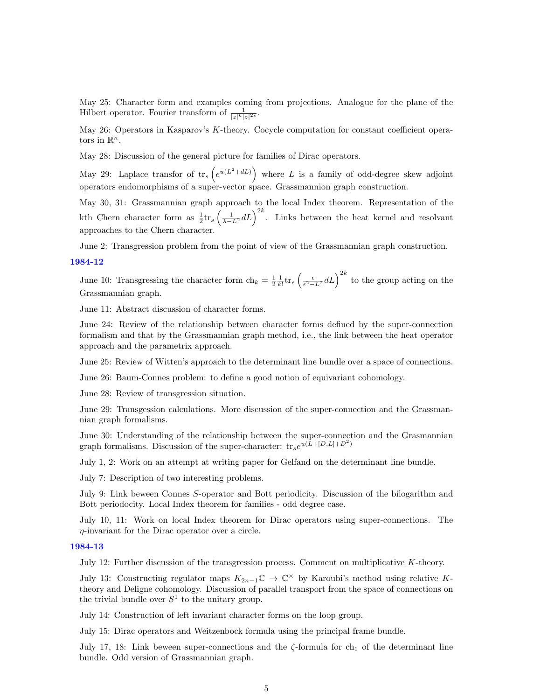May 25: Character form and examples coming from projections. Analogue for the plane of the Hilbert operator. Fourier transform of  $\frac{1}{|z|^k|z|^{2s}}$ .

May 26: Operators in Kasparov's K-theory. Cocycle computation for constant coefficient operators in  $\mathbb{R}^n$ .

May 28: Discussion of the general picture for families of Dirac operators.

May 29: Laplace transfor of  $\text{tr}_s\left(e^{u(L^2+ dL)}\right)$  where L is a family of odd-degree skew adjoint operators endomorphisms of a super-vector space. Grassmannion graph construction.

May 30, 31: Grassmannian graph approach to the local Index theorem. Representation of the kth Chern character form as  $\frac{1}{2}$ tr<sub>s</sub>  $\left(\frac{1}{\lambda - L^2} dL\right)^{2k}$ . Links between the heat kernel and resolvant approaches to the Chern character.

June 2: Transgression problem from the point of view of the Grassmannian graph construction.

#### [1984-12](http://www2.maths.ox.ac.uk/cmi/library/Quillen/Working_papers/quillen%201984/1984-12.pdf)

June 10: Transgressing the character form  $\ch_k = \frac{1}{2} \frac{1}{k!} \text{tr}_s \left( \frac{\epsilon}{\epsilon^2 - L^2} dL \right)^{2k}$  to the group acting on the Grassmannian graph.

June 11: Abstract discussion of character forms.

June 24: Review of the relationship between character forms defined by the super-connection formalism and that by the Grassmannian graph method, i.e., the link between the heat operator approach and the parametrix approach.

June 25: Review of Witten's approach to the determinant line bundle over a space of connections.

June 26: Baum-Connes problem: to define a good notion of equivariant cohomology.

June 28: Review of transgression situation.

June 29: Transgession calculations. More discussion of the super-connection and the Grassmannian graph formalisms.

June 30: Understanding of the relationship between the super-connection and the Grasmannian graph formalisms. Discussion of the super-character:  $\text{tr}_{s}e^{u(\hat{L}+[D,L]+D^{2})}$ 

July 1, 2: Work on an attempt at writing paper for Gelfand on the determinant line bundle.

July 7: Description of two interesting problems.

July 9: Link beween Connes S-operator and Bott periodicity. Discussion of the bilogarithm and Bott periodocity. Local Index theorem for families - odd degree case.

July 10, 11: Work on local Index theorem for Dirac operators using super-connections. The η-invariant for the Dirac operator over a circle.

#### [1984-13](http://www2.maths.ox.ac.uk/cmi/library/Quillen/Working_papers/quillen%201984/1984-13.pdf)

July 12: Further discussion of the transgression process. Comment on multiplicative K-theory.

July 13: Constructing regulator maps  $K_{2n-1}\mathbb{C} \to \mathbb{C}^\times$  by Karoubi's method using relative Ktheory and Deligne cohomology. Discussion of parallel transport from the space of connections on the trivial bundle over  $S^1$  to the unitary group.

July 14: Construction of left invariant character forms on the loop group.

July 15: Dirac operators and Weitzenbock formula using the principal frame bundle.

July 17, 18: Link beween super-connections and the  $\zeta$ -formula for ch<sub>1</sub> of the determinant line bundle. Odd version of Grassmannian graph.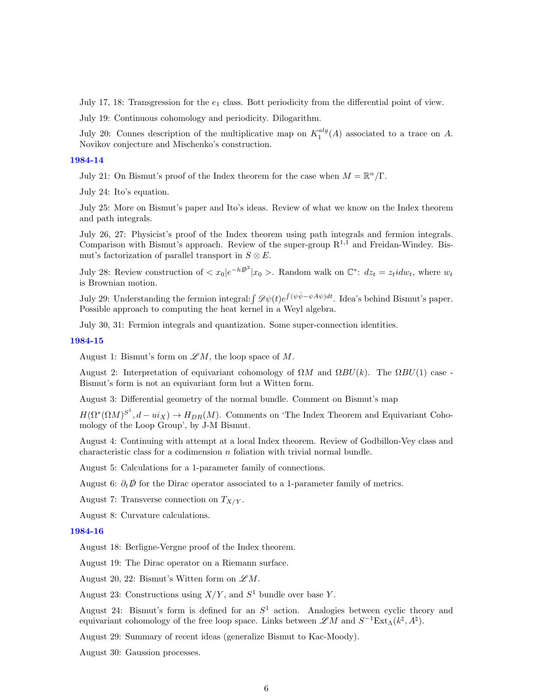July 17, 18: Transgression for the  $e_1$  class. Bott periodicity from the differential point of view.

July 19: Continuous cohomology and periodicity. Dilogarithm.

July 20: Connes description of the multiplicative map on  $K_1^{alg}(A)$  associated to a trace on A. Novikov conjecture and Mischenko's construction.

## [1984-14](http://www2.maths.ox.ac.uk/cmi/library/Quillen/Working_papers/quillen%201984/1984-14.pdf)

July 21: On Bismut's proof of the Index theorem for the case when  $M = \mathbb{R}^n/\Gamma$ .

July 24: Ito's equation.

July 25: More on Bismut's paper and Ito's ideas. Review of what we know on the Index theorem and path integrals.

July 26, 27: Physicist's proof of the Index theorem using path integrals and fermion integrals. Comparison with Bismut's approach. Review of the super-group  $R^{1,\bar{1}}$  and Freidan-Windey. Bismut's factorization of parallel transport in  $S \otimes E$ .

July 28: Review construction of  $\langle x_0 | e^{-h\vec{p}^2} | x_0 \rangle$ . Random walk on  $\mathbb{C}^*$ :  $dz_t = z_t i dw_t$ , where  $w_t$ is Brownian motion.

July 29: Understanding the fermion integral:  $\int \mathscr{D}\psi(t)e^{\int (\psi \dot{\psi} - \psi A\psi)dt}$ . Idea's behind Bismut's paper. Possible approach to computing the heat kernel in a Weyl algebra.

July 30, 31: Fermion integrals and quantization. Some super-connection identities.

#### [1984-15](http://www2.maths.ox.ac.uk/cmi/library/Quillen/Working_papers/quillen%201984/1984-15.pdf)

August 1: Bismut's form on  $\mathscr{L}M$ , the loop space of M.

August 2: Interpretation of equivariant cohomology of  $\Omega M$  and  $\Omega BU(k)$ . The  $\Omega BU(1)$  case -Bismut's form is not an equivariant form but a Witten form.

August 3: Differential geometry of the normal bundle. Comment on Bismut's map

 $H(\Omega^*(\Omega M)^{S^1}, d - u^iX) \to H_{DR}(M)$ . Comments on 'The Index Theorem and Equivariant Cohomology of the Loop Group', by J-M Bismut.

August 4: Continuing with attempt at a local Index theorem. Review of Godbillon-Vey class and characteristic class for a codimension  $n$  foliation with trivial normal bundle.

August 5: Calculations for a 1-parameter family of connections.

August 6:  $\partial_t \vec{D}$  for the Dirac operator associated to a 1-parameter family of metrics.

August 7: Transverse connection on  $T_{X/Y}$ .

August 8: Curvature calculations.

#### [1984-16](http://www2.maths.ox.ac.uk/cmi/library/Quillen/Working_papers/quillen%201984/1984-16.pdf)

August 18: Berligne-Vergne proof of the Index theorem.

August 19: The Dirac operator on a Riemann surface.

August 20, 22: Bismut's Witten form on  $\mathscr{L}M$ .

August 23: Constructions using  $X/Y$ , and  $S<sup>1</sup>$  bundle over base Y.

August 24: Bismut's form is defined for an  $S<sup>1</sup>$  action. Analogies between cyclic theory and equivariant cohomology of the free loop space. Links between  $\mathscr{L}M$  and  $S^{-1}\text{Ext}_{\Lambda}(k^{\natural}, A^{\natural}).$ 

August 29: Summary of recent ideas (generalize Bismut to Kac-Moody).

August 30: Gaussion processes.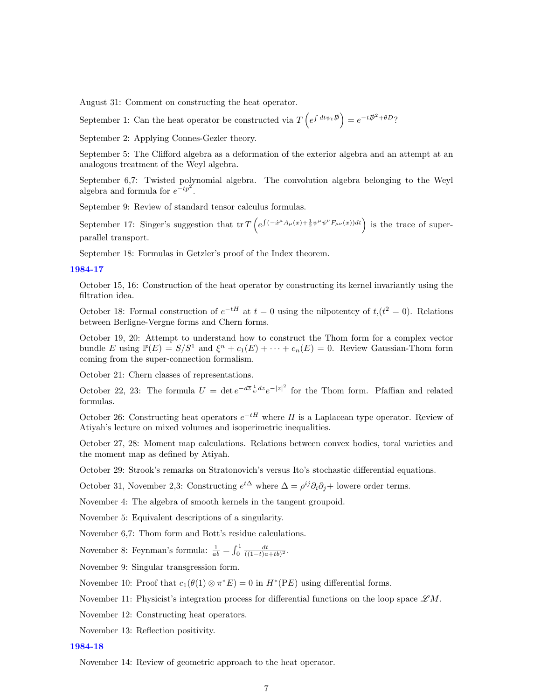August 31: Comment on constructing the heat operator.

September 1: Can the heat operator be constructed via  $T\left(e^{\int dt\psi_t\vec{\psi}}\right) = e^{-t\vec{\psi}^2 + \theta D}$ ?

September 2: Applying Connes-Gezler theory.

September 5: The Clifford algebra as a deformation of the exterior algebra and an attempt at an analogous treatment of the Weyl algebra.

September 6,7: Twisted polynomial algebra. The convolution algebra belonging to the Weyl algebra and formula for  $e^{-tp^2}$ .

September 9: Review of standard tensor calculus formulas.

September 17: Singer's suggestion that tr  $T\left(e^{\int (-\dot{x}^{\mu} A_{\mu}(x)+\frac{1}{2}\psi^{\mu}\psi^{\nu}F_{\mu\nu}(x))dt}\right)$  is the trace of superparallel transport.

September 18: Formulas in Getzler's proof of the Index theorem.

### [1984-17](http://www2.maths.ox.ac.uk/cmi/library/Quillen/Working_papers/quillen%201984/1984-17.pdf)

October 15, 16: Construction of the heat operator by constructing its kernel invariantly using the filtration idea.

October 18: Formal construction of  $e^{-tH}$  at  $t=0$  using the nilpotentcy of  $t,(t^2=0)$ . Relations between Berligne-Vergne forms and Chern forms.

October 19, 20: Attempt to understand how to construct the Thom form for a complex vector bundle E using  $\mathbb{P}(E) = S/S^1$  and  $\xi^n + c_1(E) + \cdots + c_n(E) = 0$ . Review Gaussian-Thom form coming from the super-connection formalism.

October 21: Chern classes of representations.

October 22, 23: The formula  $U = \det e^{-d\overline{z}\frac{1}{w}dz}e^{-|z|^2}$  for the Thom form. Pfaffian and related formulas.

October 26: Constructing heat operators  $e^{-tH}$  where H is a Laplacean type operator. Review of Atiyah's lecture on mixed volumes and isoperimetric inequalities.

October 27, 28: Moment map calculations. Relations between convex bodies, toral varieties and the moment map as defined by Atiyah.

October 29: Strook's remarks on Stratonovich's versus Ito's stochastic differential equations.

October 31, November 2,3: Constructing  $e^{t\Delta}$  where  $\Delta = \rho^{ij}\partial_i\partial_j +$  lowere order terms.

November 4: The algebra of smooth kernels in the tangent groupoid.

November 5: Equivalent descriptions of a singularity.

November 6,7: Thom form and Bott's residue calculations.

November 8: Feynman's formula:  $\frac{1}{ab} = \int_0^1 \frac{dt}{((1-t)a+tb)^2}$ .

November 9: Singular transgression form.

November 10: Proof that  $c_1(\theta(1) \otimes \pi^*E) = 0$  in  $H^*(PE)$  using differential forms.

November 11: Physicist's integration process for differential functions on the loop space  $\mathscr{L}M$ .

November 12: Constructing heat operators.

November 13: Reflection positivity.

#### [1984-18](http://www2.maths.ox.ac.uk/cmi/library/Quillen/Working_papers/quillen%201984/1984-18.pdf)

November 14: Review of geometric approach to the heat operator.